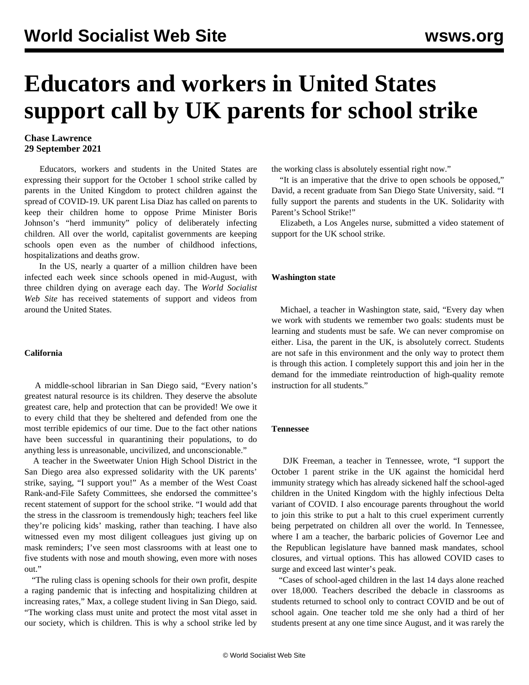# **Educators and workers in United States support call by UK parents for school strike**

### **Chase Lawrence 29 September 2021**

 Educators, workers and students in the United States are expressing their support for the October 1 school strike called by parents in the United Kingdom to protect children against the spread of COVID-19. UK parent Lisa Diaz has called on parents to keep their children home to oppose Prime Minister Boris Johnson's "herd immunity" policy of deliberately infecting children. All over the world, capitalist governments are keeping schools open even as the number of childhood infections, hospitalizations and deaths grow.

 In the US, nearly a quarter of a million children have been infected each week since schools opened in mid-August, with three children dying on average each day. The *World Socialist Web Site* has received statements of support and videos from around the United States.

#### **California**

 A middle-school librarian in San Diego said, "Every nation's greatest natural resource is its children. They deserve the absolute greatest care, help and protection that can be provided! We owe it to every child that they be sheltered and defended from one the most terrible epidemics of our time. Due to the fact other nations have been successful in quarantining their populations, to do anything less is unreasonable, uncivilized, and unconscionable."

 A teacher in the Sweetwater Union High School District in the San Diego area also expressed solidarity with the UK parents' strike, saying, "I support you!" As a member of the West Coast Rank-and-File Safety Committees, she endorsed the committee's recent statement of support for the school strike. "I would add that the stress in the classroom is tremendously high; teachers feel like they're policing kids' masking, rather than teaching. I have also witnessed even my most diligent colleagues just giving up on mask reminders; I've seen most classrooms with at least one to five students with nose and mouth showing, even more with noses out."

 "The ruling class is opening schools for their own profit, despite a raging pandemic that is infecting and hospitalizing children at increasing rates," Max, a college student living in San Diego, said. "The working class must unite and protect the most vital asset in our society, which is children. This is why a school strike led by the working class is absolutely essential right now."

 "It is an imperative that the drive to open schools be opposed," David, a recent graduate from San Diego State University, said. "I fully support the parents and students in the UK. Solidarity with Parent's School Strike!"

 Elizabeth, a Los Angeles nurse, submitted a video statement of support for the UK school strike.

#### **Washington state**

 Michael, a teacher in Washington state, said, "Every day when we work with students we remember two goals: students must be learning and students must be safe. We can never compromise on either. Lisa, the parent in the UK, is absolutely correct. Students are not safe in this environment and the only way to protect them is through this action. I completely support this and join her in the demand for the immediate reintroduction of high-quality remote instruction for all students."

#### **Tennessee**

 DJK Freeman, a teacher in Tennessee, wrote, "I support the October 1 parent strike in the UK against the homicidal herd immunity strategy which has already sickened half the school-aged children in the United Kingdom with the highly infectious Delta variant of COVID. I also encourage parents throughout the world to join this strike to put a halt to this cruel experiment currently being perpetrated on children all over the world. In Tennessee, where I am a teacher, the barbaric policies of Governor Lee and the Republican legislature have banned mask mandates, school closures, and virtual options. This has allowed COVID cases to surge and exceed last winter's peak.

 "Cases of school-aged children in the last 14 days alone reached over 18,000. Teachers described the debacle in classrooms as students returned to school only to contract COVID and be out of school again. One teacher told me she only had a third of her students present at any one time since August, and it was rarely the